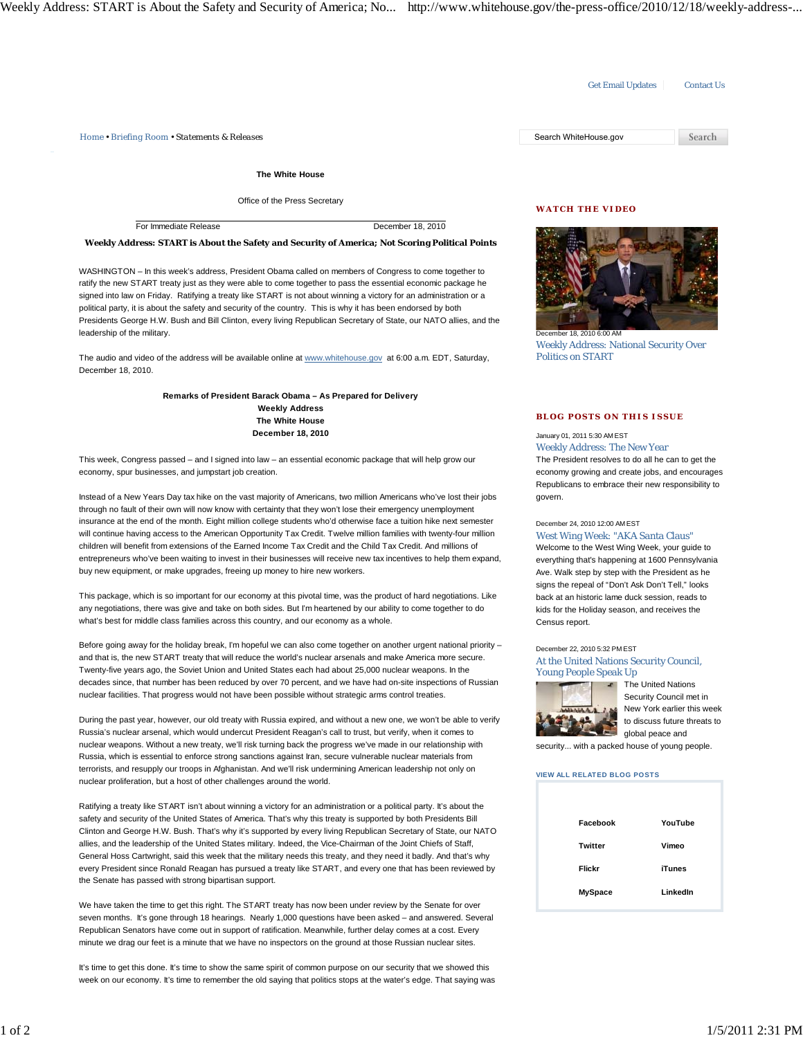Get Email Updates Contact Us *Home • Briefing Room • Statements & Releases* Search WhiteHouse.gov Search

**The White House**

Office of the Press Secretary

For Immediate Release December 18, 2010

**Weekly Address: START is About the Safety and Security of America; Not Scoring Political Points**

WASHINGTON – In this week's address, President Obama called on members of Congress to come together to ratify the new START treaty just as they were able to come together to pass the essential economic package he signed into law on Friday. Ratifying a treaty like START is not about winning a victory for an administration or a political party, it is about the safety and security of the country. This is why it has been endorsed by both Presidents George H.W. Bush and Bill Clinton, every living Republican Secretary of State, our NATO allies, and the leadership of the military.

The audio and video of the address will be available online at www.whitehouse.gov at 6:00 a.m. EDT, Saturday, December 18, 2010.

> **Remarks of President Barack Obama – As Prepared for Delivery Weekly Address The White House December 18, 2010**

This week, Congress passed – and I signed into law – an essential economic package that will help grow our economy, spur businesses, and jumpstart job creation.

Instead of a New Years Day tax hike on the vast majority of Americans, two million Americans who've lost their jobs through no fault of their own will now know with certainty that they won't lose their emergency unemployment insurance at the end of the month. Eight million college students who'd otherwise face a tuition hike next semester will continue having access to the American Opportunity Tax Credit. Twelve million families with twenty-four million children will benefit from extensions of the Earned Income Tax Credit and the Child Tax Credit. And millions of entrepreneurs who've been waiting to invest in their businesses will receive new tax incentives to help them expand, buy new equipment, or make upgrades, freeing up money to hire new workers.

This package, which is so important for our economy at this pivotal time, was the product of hard negotiations. Like any negotiations, there was give and take on both sides. But I'm heartened by our ability to come together to do what's best for middle class families across this country, and our economy as a whole.

Before going away for the holiday break, I'm hopeful we can also come together on another urgent national priority – and that is, the new START treaty that will reduce the world's nuclear arsenals and make America more secure. Twenty-five years ago, the Soviet Union and United States each had about 25,000 nuclear weapons. In the decades since, that number has been reduced by over 70 percent, and we have had on-site inspections of Russian nuclear facilities. That progress would not have been possible without strategic arms control treaties.

During the past year, however, our old treaty with Russia expired, and without a new one, we won't be able to verify Russia's nuclear arsenal, which would undercut President Reagan's call to trust, but verify, when it comes to nuclear weapons. Without a new treaty, we'll risk turning back the progress we've made in our relationship with Russia, which is essential to enforce strong sanctions against Iran, secure vulnerable nuclear materials from terrorists, and resupply our troops in Afghanistan. And we'll risk undermining American leadership not only on nuclear proliferation, but a host of other challenges around the world.

Ratifying a treaty like START isn't about winning a victory for an administration or a political party. It's about the safety and security of the United States of America. That's why this treaty is supported by both Presidents Bill Clinton and George H.W. Bush. That's why it's supported by every living Republican Secretary of State, our NATO allies, and the leadership of the United States military. Indeed, the Vice-Chairman of the Joint Chiefs of Staff, General Hoss Cartwright, said this week that the military needs this treaty, and they need it badly. And that's why every President since Ronald Reagan has pursued a treaty like START, and every one that has been reviewed by the Senate has passed with strong bipartisan support.

We have taken the time to get this right. The START treaty has now been under review by the Senate for over seven months. It's gone through 18 hearings. Nearly 1,000 questions have been asked – and answered. Several Republican Senators have come out in support of ratification. Meanwhile, further delay comes at a cost. Every minute we drag our feet is a minute that we have no inspectors on the ground at those Russian nuclear sites.

It's time to get this done. It's time to show the same spirit of common purpose on our security that we showed this week on our economy. It's time to remember the old saying that politics stops at the water's edge. That saying was

## **WATCH THE VIDEO**



er 18, 2010 6:00 AM Weekly Address: National Security Over Politics on START

## **BLOG POSTS ON THIS ISSUE**

#### January 01, 2011 5:30 AM EST

Weekly Address: The New Year The President resolves to do all he can to get the economy growing and create jobs, and encourages Republicans to embrace their new responsibility to

#### December 24, 2010 12:00 AM EST

govern.

West Wing Week: "AKA Santa Claus" Welcome to the West Wing Week, your guide to everything that's happening at 1600 Pennsylvania Ave. Walk step by step with the President as he signs the repeal of "Don't Ask Don't Tell," looks back at an historic lame duck session, reads to kids for the Holiday season, and receives the Census report.

# December 22, 2010 5:32 PM EST At the United Nations Security Council,



The United Nations Security Council met in New York earlier this week to discuss future threats to global peace and

security... with a packed house of young people.

### **VIEW ALL RELATED BLOG POSTS**

| Facebook       | YouTube  |
|----------------|----------|
| <b>Twitter</b> | Vimeo    |
| Flickr         | iTunes   |
| <b>MySpace</b> | LinkedIn |
|                |          |